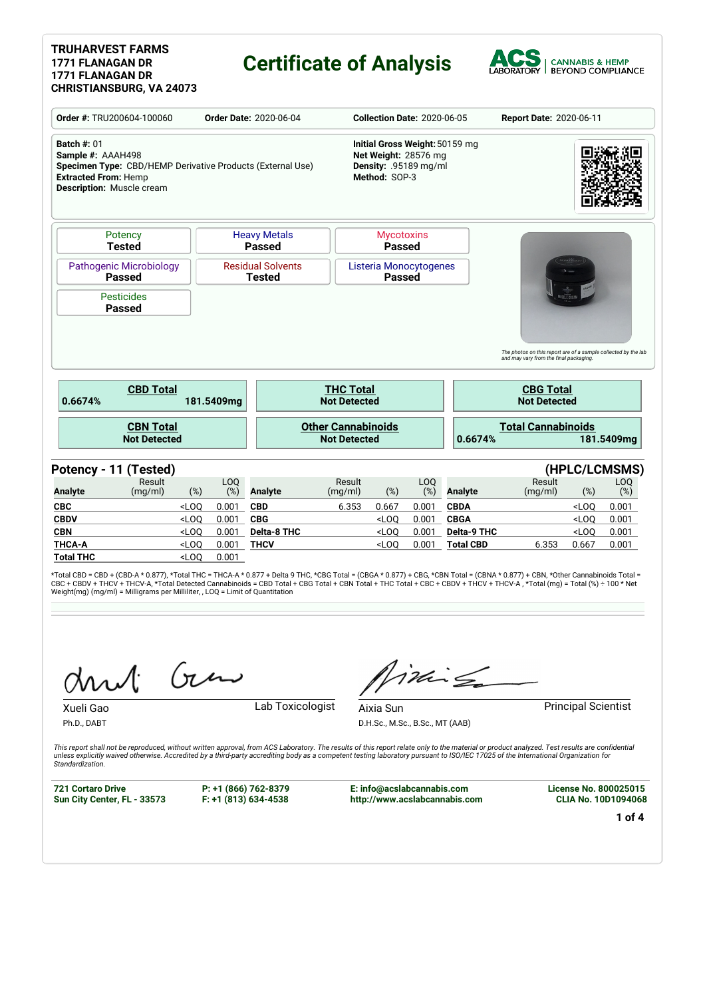#### **TRUHARVEST FARMS 1771 FLANAGAN DR 1771 FLANAGAN DR CHRISTIANSBURG, VA 24073**

### **Certificate of Analysis**



|                                                                                                                                                                                                                                 |                                         |         |                        |                                           |                                                  | <b>Collection Date: 2020-06-05</b>                                                               |            |                    | Report Date: 2020-06-11                                                                                                                             |         |                         |  |
|---------------------------------------------------------------------------------------------------------------------------------------------------------------------------------------------------------------------------------|-----------------------------------------|---------|------------------------|-------------------------------------------|--------------------------------------------------|--------------------------------------------------------------------------------------------------|------------|--------------------|-----------------------------------------------------------------------------------------------------------------------------------------------------|---------|-------------------------|--|
| Order #: TRU200604-100060<br><b>Order Date: 2020-06-04</b><br><b>Batch #: 01</b><br>Sample #: AAAH498<br>Specimen Type: CBD/HEMP Derivative Products (External Use)<br><b>Extracted From: Hemp</b><br>Description: Muscle cream |                                         |         |                        |                                           |                                                  | Initial Gross Weight: 50159 mg<br>Net Weight: 28576 mg<br>Density: .95189 mg/ml<br>Method: SOP-3 |            |                    |                                                                                                                                                     |         |                         |  |
|                                                                                                                                                                                                                                 | Potency<br><b>Tested</b>                |         |                        | <b>Heavy Metals</b><br><b>Passed</b>      |                                                  | <b>Mycotoxins</b><br><b>Passed</b>                                                               |            |                    |                                                                                                                                                     |         |                         |  |
| <b>Pathogenic Microbiology</b><br><b>Passed</b>                                                                                                                                                                                 |                                         |         |                        | <b>Residual Solvents</b><br><b>Tested</b> |                                                  | Listeria Monocytogenes<br><b>Passed</b>                                                          |            |                    |                                                                                                                                                     |         |                         |  |
|                                                                                                                                                                                                                                 | <b>Pesticides</b><br><b>Passed</b>      |         |                        |                                           |                                                  |                                                                                                  |            |                    |                                                                                                                                                     |         |                         |  |
| 0.6674%                                                                                                                                                                                                                         | <b>CBD Total</b>                        |         | 181.5409mg             |                                           | <b>THC Total</b><br><b>Not Detected</b>          |                                                                                                  |            |                    | The photos on this report are of a sample collected by the lab<br>and may vary from the final packaging.<br><b>CBG Total</b><br><b>Not Detected</b> |         |                         |  |
|                                                                                                                                                                                                                                 | <b>CBN Total</b><br><b>Not Detected</b> |         |                        |                                           | <b>Other Cannabinoids</b><br><b>Not Detected</b> |                                                                                                  |            | 0.6674%            | <b>Total Cannabinoids</b>                                                                                                                           |         | 181.5409mg              |  |
|                                                                                                                                                                                                                                 | Potency - 11 (Tested)                   |         |                        |                                           |                                                  |                                                                                                  |            |                    |                                                                                                                                                     |         | (HPLC/LCMSMS)           |  |
| <b>Analyte</b>                                                                                                                                                                                                                  | Result<br>(mg/ml)                       | $(\%)$  | LO <sub>O</sub><br>(%) | <b>Analyte</b>                            | Result<br>(mg/ml)                                | $(\%)$                                                                                           | LOQ<br>(%) | <b>Analyte</b>     | Result<br>(mg/ml)                                                                                                                                   | $(\%)$  | L <sub>O</sub> O<br>(%) |  |
| <b>CBC</b>                                                                                                                                                                                                                      |                                         | $<$ LOO | 0.001                  | <b>CBD</b>                                | 6.353                                            | 0.667                                                                                            | 0.001      | <b>CBDA</b>        |                                                                                                                                                     | $<$ LOO | 0.001                   |  |
| <b>CBDV</b>                                                                                                                                                                                                                     |                                         | $<$ LOQ | 0.001                  | <b>CBG</b>                                |                                                  | $<$ LOO                                                                                          | 0.001      | <b>CBGA</b>        |                                                                                                                                                     | $<$ LOQ | 0.001                   |  |
| <b>CBN</b>                                                                                                                                                                                                                      |                                         | $<$ LOO | 0.001                  | <b>Delta-8 THC</b>                        |                                                  | $<$ LOO                                                                                          | 0.001      | <b>Delta-9 THC</b> |                                                                                                                                                     | $<$ LOO | 0.001                   |  |
| <b>THCA-A</b>                                                                                                                                                                                                                   |                                         | $<$ LOQ | 0.001                  | <b>THCV</b>                               |                                                  | $<$ LOO                                                                                          | 0.001      | <b>Total CBD</b>   | 6.353                                                                                                                                               | 0.667   | 0.001                   |  |

\*Total CBD = CBD + (CBD-A \* 0.877), \*Total THC = THCA-A \* 0.877 + Delta 9 THC, \*CBG Total = (CBGA \* 0.877) + CBG, \*CBN Total = (CBNA \* 0.877) + CBN, \*Other Cannabinoids Total =<br>CBC + CBDV + THCV + THCV-A, \*Total Detected C

Gen

**Total THC** <LOQ 0.001

Ph.D., DABT

Xueli Gao **Lab Toxicologist** 

iding

D.H.Sc., M.Sc., B.Sc., MT (AAB)

Aixia Sun **Principal Scientist** 

This report shall not be reproduced, without written approval, from ACS Laboratory. The results of this report relate only to the material or product analyzed. Test results are confidential<br>unless explicitly waived otherwi *Standardization.*

**721 Cortaro Drive Sun City Center, FL - 33573** **P: +1 (866) 762-8379 F: +1 (813) 634-4538**

**E: info@acslabcannabis.com http://www.acslabcannabis.com** **License No. 800025015 CLIA No. 10D1094068**

**1 of 4**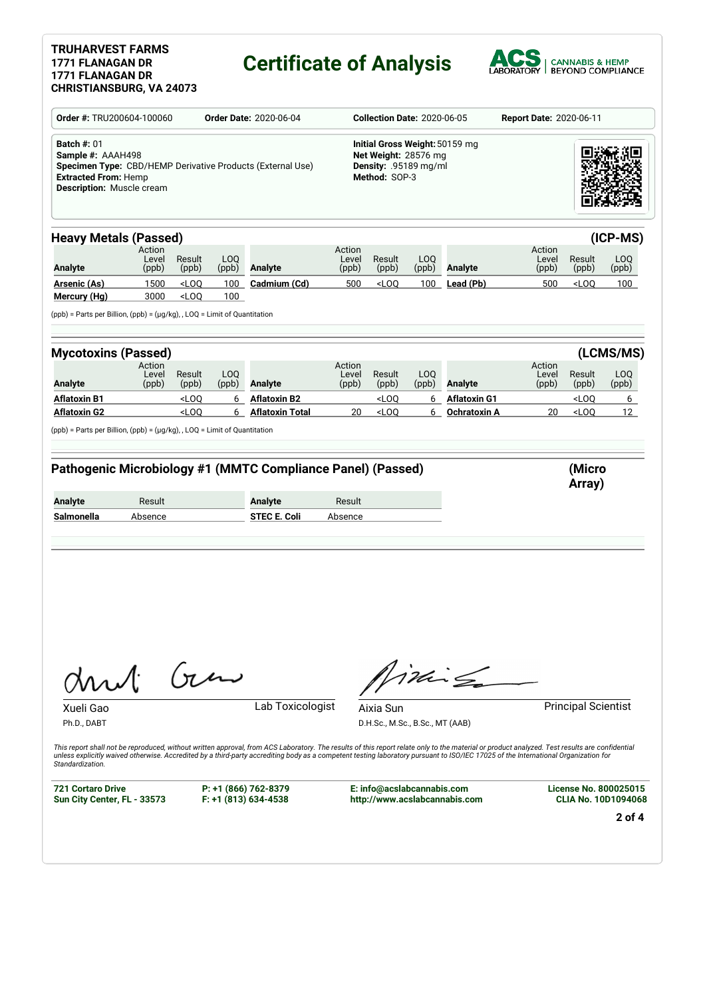### **TRUHARVEST FARMS 1771 FLANAGAN DR 1771 FLANAGAN DR**

# **Certificate of Analysis**



| Order #: TRU200604-100060<br><b>Order Date: 2020-06-04</b>                                                                                                        |                          |                    |              |                                                                                                                                                                                                                                                                                                                                                                                                         |                                                                                                  | <b>Collection Date: 2020-06-05</b>           |              | <b>Report Date: 2020-06-11</b>      |                          |                            |                                    |
|-------------------------------------------------------------------------------------------------------------------------------------------------------------------|--------------------------|--------------------|--------------|---------------------------------------------------------------------------------------------------------------------------------------------------------------------------------------------------------------------------------------------------------------------------------------------------------------------------------------------------------------------------------------------------------|--------------------------------------------------------------------------------------------------|----------------------------------------------|--------------|-------------------------------------|--------------------------|----------------------------|------------------------------------|
| <b>Batch #: 01</b><br>Sample #: AAAH498<br>Specimen Type: CBD/HEMP Derivative Products (External Use)<br><b>Extracted From: Hemp</b><br>Description: Muscle cream |                          |                    |              |                                                                                                                                                                                                                                                                                                                                                                                                         | Initial Gross Weight: 50159 mg<br>Net Weight: 28576 mg<br>Density: .95189 mg/ml<br>Method: SOP-3 |                                              |              |                                     |                          |                            |                                    |
| <b>Heavy Metals (Passed)</b>                                                                                                                                      |                          |                    |              |                                                                                                                                                                                                                                                                                                                                                                                                         |                                                                                                  |                                              |              |                                     |                          |                            | (ICP-MS)                           |
| <b>Analyte</b>                                                                                                                                                    | Action<br>Level<br>(ppb) | Result<br>(ppb)    | LOQ<br>(ppb) | Analyte                                                                                                                                                                                                                                                                                                                                                                                                 | Action<br>Level<br>(ppb)                                                                         | Result<br>(ppb)                              | LOQ<br>(ppb) | Analyte                             | Action<br>Level<br>(ppb) | Result<br>(ppb)            | LOQ<br>(ppb)                       |
| <b>Arsenic (As)</b><br>Mercury (Hg)                                                                                                                               | 1500<br>3000             | $<$ LOQ<br>$<$ LOQ | 100<br>100   | Cadmium (Cd)                                                                                                                                                                                                                                                                                                                                                                                            | 500                                                                                              | $<$ LOQ                                      | 100          | Lead (Pb)                           | 500                      | $<$ LOQ                    | 100                                |
| (ppb) = Parts per Billion, (ppb) = (µg/kg), , LOQ = Limit of Quantitation                                                                                         |                          |                    |              |                                                                                                                                                                                                                                                                                                                                                                                                         |                                                                                                  |                                              |              |                                     |                          |                            |                                    |
| <b>Mycotoxins (Passed)</b>                                                                                                                                        | Action                   |                    |              |                                                                                                                                                                                                                                                                                                                                                                                                         | Action                                                                                           |                                              |              |                                     | Action                   |                            | (LCMS/MS)                          |
| Analyte                                                                                                                                                           | Level<br>(ppb)           | Result<br>(ppb)    | LOQ<br>(ppb) | <b>Analyte</b>                                                                                                                                                                                                                                                                                                                                                                                          | Level<br>(ppb)                                                                                   | Result<br>(ppb)                              | LOQ<br>(ppb) | <b>Analyte</b>                      | Level<br>(ppb)           | Result<br>(ppb)            | LOQ<br>(ppb)                       |
| <b>Aflatoxin B1</b><br><b>Aflatoxin G2</b>                                                                                                                        |                          | $<$ LOQ<br>$<$ LOQ | 6<br>6       | <b>Aflatoxin B2</b><br><b>Aflatoxin Total</b>                                                                                                                                                                                                                                                                                                                                                           | 20                                                                                               | <loq<br><math>&lt;</math>LOQ</loq<br>        | 6<br>6       | <b>Aflatoxin G1</b><br>Ochratoxin A | 20                       | $<$ LOQ<br>$<$ LOQ         | $6\overline{6}$<br>12 <sup>2</sup> |
|                                                                                                                                                                   |                          |                    |              | Pathogenic Microbiology #1 (MMTC Compliance Panel) (Passed)                                                                                                                                                                                                                                                                                                                                             |                                                                                                  |                                              |              |                                     |                          | (Micro<br>Array)           |                                    |
| (ppb) = Parts per Billion, (ppb) = (µg/kg), , LOQ = Limit of Quantitation<br><b>Analyte</b><br>Salmonella                                                         | Result<br>Absence        |                    |              | <b>Analyte</b><br><b>STEC E. Coli</b>                                                                                                                                                                                                                                                                                                                                                                   | Result<br>Absence                                                                                |                                              |              |                                     |                          |                            |                                    |
| mu1:                                                                                                                                                              |                          | $\int_{\pi}$       |              |                                                                                                                                                                                                                                                                                                                                                                                                         |                                                                                                  |                                              | $iki \n\in$  |                                     |                          |                            |                                    |
| Xueli Gao<br>Ph.D., DABT<br>Standardization.                                                                                                                      |                          |                    |              | Lab Toxicologist<br>This report shall not be reproduced, without written approval, from ACS Laboratory. The results of this report relate only to the material or product analyzed. Test results are confidential<br>unless explicitly waived otherwise. Accredited by a third-party accrediting body as a competent testing laboratory pursuant to ISO/IEC 17025 of the International Organization for |                                                                                                  | Aixia Sun<br>D.H.Sc., M.Sc., B.Sc., MT (AAB) |              |                                     |                          | <b>Principal Scientist</b> |                                    |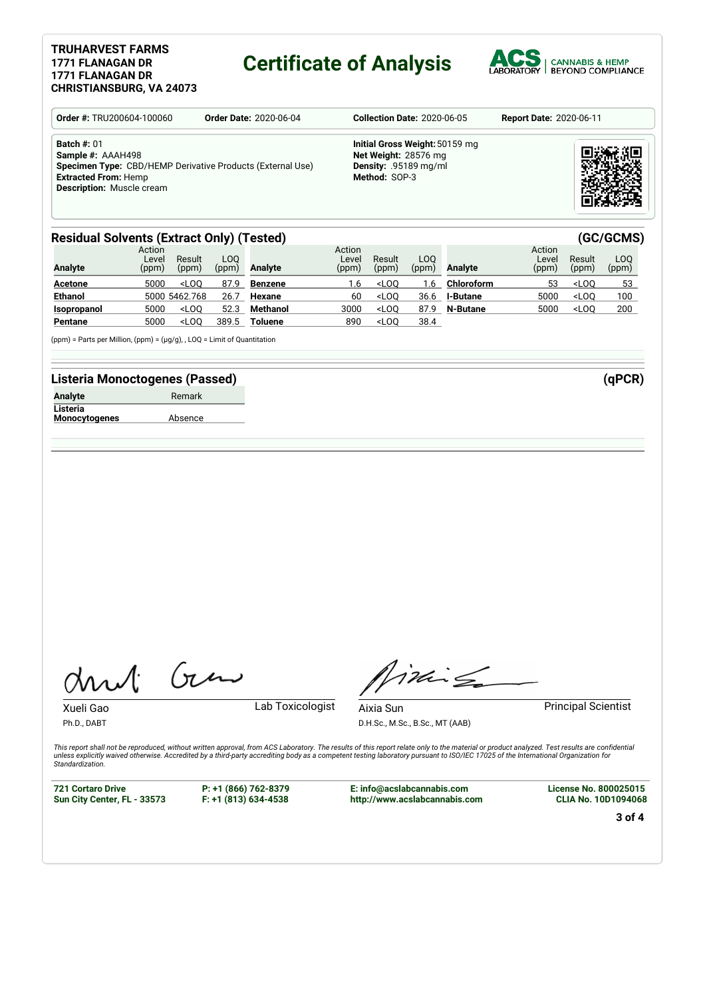#### **TRUHARVEST FARMS 1771 FLANAGAN DR 1771 FLANAGAN DR CHRISTIANSBURG, VA 24073**

### **Certificate of Analysis**



| <b>Order #: TRU200604-100060</b>                                                                                                                                    | <b>Order Date: 2020-06-04</b> | <b>Collection Date: 2020-06-05</b>                                                                      |  |  |  |  |
|---------------------------------------------------------------------------------------------------------------------------------------------------------------------|-------------------------------|---------------------------------------------------------------------------------------------------------|--|--|--|--|
| Batch $#: 01$<br>Sample #: AAAH498<br>Specimen Type: CBD/HEMP Derivative Products (External Use)<br><b>Extracted From: Hemp</b><br><b>Description: Muscle cream</b> |                               | Initial Gross Weight: 50159 mg<br>Net Weight: 28576 mg<br><b>Density: .95189 mg/ml</b><br>Method: SOP-3 |  |  |  |  |

#### **Residual Solvents (Extract Only) (Tested) (GC/GCMS)**

| <b>Analyte</b> | Action<br>Level<br>(ppm) | Result<br>(ppm) | LOO<br>(ppm) | Analyte        | Action<br>Level<br>(ppm) | Result<br>(ppm) | LOO.<br>(ppm) | <b>Analyte</b>    | Action<br>Level<br>(ppm) | Result<br>(ppm) | LOO<br>(ppm) |
|----------------|--------------------------|-----------------|--------------|----------------|--------------------------|-----------------|---------------|-------------------|--------------------------|-----------------|--------------|
| <b>Acetone</b> | 5000                     | $<$ LOO         | 87.9         | <b>Benzene</b> | 1.6                      | $<$ LOO         | .6            | <b>Chloroform</b> | 53                       | $<$ LOO         | 53           |
| <b>Ethanol</b> |                          | 5000 5462.768   | 26.7         | Hexane         | 60                       | $<$ LOO         | 36.6          | <b>I-Butane</b>   | 5000                     | $<$ LOO         | 100          |
| Isopropanol    | 5000                     | $<$ LOO         | 52.3         | Methanol       | 3000                     | $<$ LOO         | 87.9          | N-Butane          | 5000                     | $<$ LOO         | 200          |
| Pentane        | 5000                     | $<$ LOO         | 389.5        | <b>Toluene</b> | 890                      | $<$ LOO         | 38.4          |                   |                          |                 |              |

(ppm) = Parts per Million, (ppm) = (µg/g), , LOQ = Limit of Quantitation

#### **Listeria Monoctogenes (Passed) (qPCR)**

| <b>Analyte</b>       | Remark  |
|----------------------|---------|
| Listeria             |         |
| <b>Monocytogenes</b> | Absence |

Gen

Xueli Gao **Lab Toxicologist** Ph.D., DABT

Timile

D.H.Sc., M.Sc., B.Sc., MT (AAB)

Aixia Sun **Principal Scientist** 

This report shall not be reproduced, without written approval, from ACS Laboratory. The results of this report relate only to the material or product analyzed. Test results are confidential<br>unless explicitly waived otherwi *Standardization.*

**721 Cortaro Drive Sun City Center, FL - 33573** **P: +1 (866) 762-8379 F: +1 (813) 634-4538**

**E: info@acslabcannabis.com http://www.acslabcannabis.com** **License No. 800025015 CLIA No. 10D1094068**

**3 of 4**